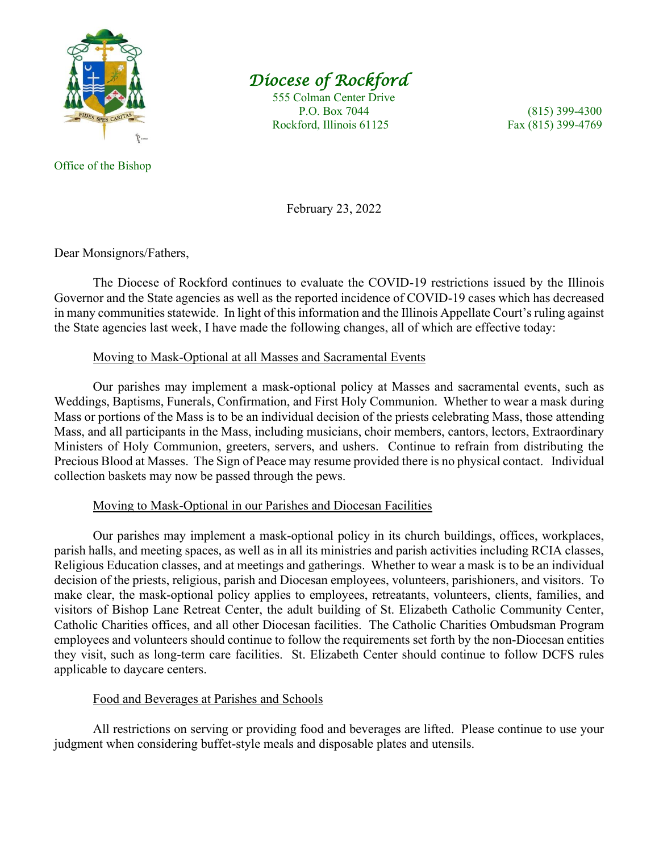

# *Diocese of Rockford*

 555 Colman Center Drive P.O. Box 7044 (815) 399-4300 Rockford, Illinois 61125 Fax (815) 399-4769

Office of the Bishop

February 23, 2022

Dear Monsignors/Fathers,

The Diocese of Rockford continues to evaluate the COVID-19 restrictions issued by the Illinois Governor and the State agencies as well as the reported incidence of COVID-19 cases which has decreased in many communities statewide. In light of this information and the Illinois Appellate Court's ruling against the State agencies last week, I have made the following changes, all of which are effective today:

### Moving to Mask-Optional at all Masses and Sacramental Events

Our parishes may implement a mask-optional policy at Masses and sacramental events, such as Weddings, Baptisms, Funerals, Confirmation, and First Holy Communion. Whether to wear a mask during Mass or portions of the Mass is to be an individual decision of the priests celebrating Mass, those attending Mass, and all participants in the Mass, including musicians, choir members, cantors, lectors, Extraordinary Ministers of Holy Communion, greeters, servers, and ushers. Continue to refrain from distributing the Precious Blood at Masses. The Sign of Peace may resume provided there is no physical contact. Individual collection baskets may now be passed through the pews.

## Moving to Mask-Optional in our Parishes and Diocesan Facilities

Our parishes may implement a mask-optional policy in its church buildings, offices, workplaces, parish halls, and meeting spaces, as well as in all its ministries and parish activities including RCIA classes, Religious Education classes, and at meetings and gatherings. Whether to wear a mask is to be an individual decision of the priests, religious, parish and Diocesan employees, volunteers, parishioners, and visitors. To make clear, the mask-optional policy applies to employees, retreatants, volunteers, clients, families, and visitors of Bishop Lane Retreat Center, the adult building of St. Elizabeth Catholic Community Center, Catholic Charities offices, and all other Diocesan facilities. The Catholic Charities Ombudsman Program employees and volunteers should continue to follow the requirements set forth by the non-Diocesan entities they visit, such as long-term care facilities. St. Elizabeth Center should continue to follow DCFS rules applicable to daycare centers.

## Food and Beverages at Parishes and Schools

All restrictions on serving or providing food and beverages are lifted. Please continue to use your judgment when considering buffet-style meals and disposable plates and utensils.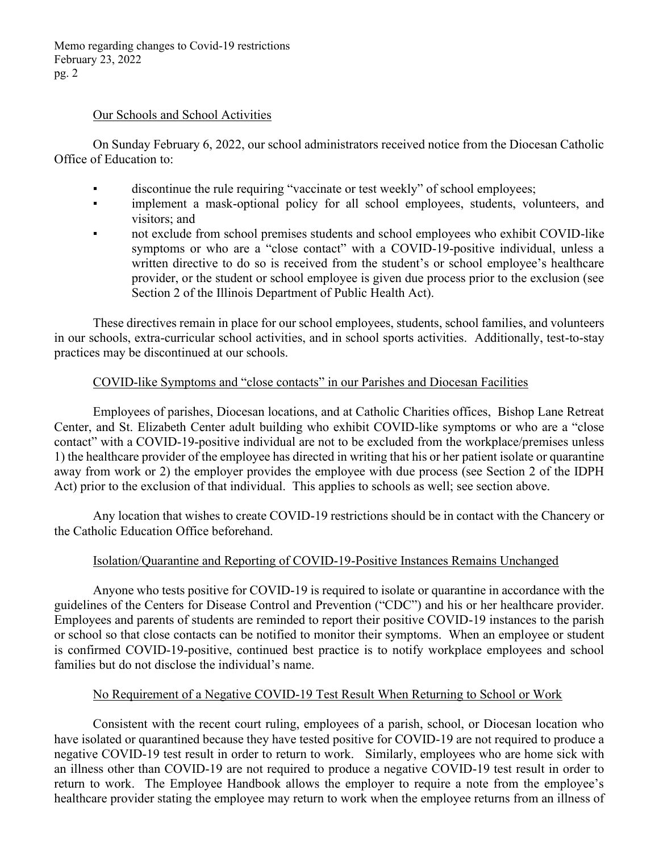Memo regarding changes to Covid-19 restrictions February 23, 2022 pg. 2

#### Our Schools and School Activities

On Sunday February 6, 2022, our school administrators received notice from the Diocesan Catholic Office of Education to:

- discontinue the rule requiring "vaccinate or test weekly" of school employees;
- implement a mask-optional policy for all school employees, students, volunteers, and visitors; and
- not exclude from school premises students and school employees who exhibit COVID-like symptoms or who are a "close contact" with a COVID-19-positive individual, unless a written directive to do so is received from the student's or school employee's healthcare provider, or the student or school employee is given due process prior to the exclusion (see Section 2 of the Illinois Department of Public Health Act).

These directives remain in place for our school employees, students, school families, and volunteers in our schools, extra-curricular school activities, and in school sports activities. Additionally, test-to-stay practices may be discontinued at our schools.

## COVID-like Symptoms and "close contacts" in our Parishes and Diocesan Facilities

Employees of parishes, Diocesan locations, and at Catholic Charities offices, Bishop Lane Retreat Center, and St. Elizabeth Center adult building who exhibit COVID-like symptoms or who are a "close" contact" with a COVID-19-positive individual are not to be excluded from the workplace/premises unless 1) the healthcare provider of the employee has directed in writing that his or her patient isolate or quarantine away from work or 2) the employer provides the employee with due process (see Section 2 of the IDPH Act) prior to the exclusion of that individual. This applies to schools as well; see section above.

Any location that wishes to create COVID-19 restrictions should be in contact with the Chancery or the Catholic Education Office beforehand.

## Isolation/Quarantine and Reporting of COVID-19-Positive Instances Remains Unchanged

Anyone who tests positive for COVID-19 is required to isolate or quarantine in accordance with the guidelines of the Centers for Disease Control and Prevention ("CDC") and his or her healthcare provider. Employees and parents of students are reminded to report their positive COVID-19 instances to the parish or school so that close contacts can be notified to monitor their symptoms. When an employee or student is confirmed COVID-19-positive, continued best practice is to notify workplace employees and school families but do not disclose the individual's name.

## No Requirement of a Negative COVID-19 Test Result When Returning to School or Work

Consistent with the recent court ruling, employees of a parish, school, or Diocesan location who have isolated or quarantined because they have tested positive for COVID-19 are not required to produce a negative COVID-19 test result in order to return to work. Similarly, employees who are home sick with an illness other than COVID-19 are not required to produce a negative COVID-19 test result in order to return to work. The Employee Handbook allows the employer to require a note from the employee's healthcare provider stating the employee may return to work when the employee returns from an illness of